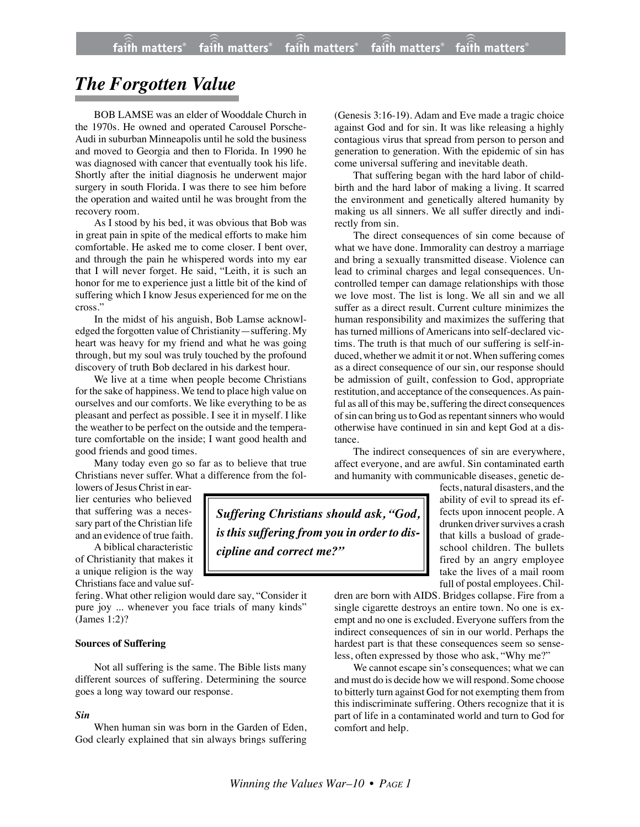# *The Forgotten Value*

BOB LAMSE was an elder of Wooddale Church in the 1970s. He owned and operated Carousel Porsche-Audi in suburban Minneapolis until he sold the business and moved to Georgia and then to Florida. In 1990 he was diagnosed with cancer that eventually took his life. Shortly after the initial diagnosis he underwent major surgery in south Florida. I was there to see him before the operation and waited until he was brought from the recovery room.

As I stood by his bed, it was obvious that Bob was in great pain in spite of the medical efforts to make him comfortable. He asked me to come closer. I bent over, and through the pain he whispered words into my ear that I will never forget. He said, "Leith, it is such an honor for me to experience just a little bit of the kind of suffering which I know Jesus experienced for me on the cross."

In the midst of his anguish, Bob Lamse acknowledged the forgotten value of Christianity—suffering. My heart was heavy for my friend and what he was going through, but my soul was truly touched by the profound discovery of truth Bob declared in his darkest hour.

We live at a time when people become Christians for the sake of happiness. We tend to place high value on ourselves and our comforts. We like everything to be as pleasant and perfect as possible. I see it in myself. I like the weather to be perfect on the outside and the temperature comfortable on the inside; I want good health and good friends and good times.

Many today even go so far as to believe that true Christians never suffer. What a difference from the fol-

lowers of Jesus Christ in earlier centuries who believed that suffering was a necessary part of the Christian life and an evidence of true faith.

A biblical characteristic of Christianity that makes it a unique religion is the way Christians face and value suf-

fering. What other religion would dare say, "Consider it pure joy ... whenever you face trials of many kinds" (James 1:2)?

#### **Sources of Suffering**

Not all suffering is the same. The Bible lists many different sources of suffering. Determining the source goes a long way toward our response.

#### *Sin*

When human sin was born in the Garden of Eden, God clearly explained that sin always brings suffering

(Genesis 3:16-19). Adam and Eve made a tragic choice against God and for sin. It was like releasing a highly contagious virus that spread from person to person and generation to generation. With the epidemic of sin has come universal suffering and inevitable death.

That suffering began with the hard labor of childbirth and the hard labor of making a living. It scarred the environment and genetically altered humanity by making us all sinners. We all suffer directly and indirectly from sin.

The direct consequences of sin come because of what we have done. Immorality can destroy a marriage and bring a sexually transmitted disease. Violence can lead to criminal charges and legal consequences. Uncontrolled temper can damage relationships with those we love most. The list is long. We all sin and we all suffer as a direct result. Current culture minimizes the human responsibility and maximizes the suffering that has turned millions of Americans into self-declared victims. The truth is that much of our suffering is self-induced, whether we admit it or not. When suffering comes as a direct consequence of our sin, our response should be admission of guilt, confession to God, appropriate restitution, and acceptance of the consequences. As painful as all of this may be, suffering the direct consequences of sin can bring us to God as repentant sinners who would otherwise have continued in sin and kept God at a distance.

The indirect consequences of sin are everywhere, affect everyone, and are awful. Sin contaminated earth and humanity with communicable diseases, genetic de-

> fects, natural disasters, and the ability of evil to spread its effects upon innocent people. A drunken driver survives a crash that kills a busload of gradeschool children. The bullets fired by an angry employee take the lives of a mail room full of postal employees. Chil-

dren are born with AIDS. Bridges collapse. Fire from a single cigarette destroys an entire town. No one is exempt and no one is excluded. Everyone suffers from the indirect consequences of sin in our world. Perhaps the hardest part is that these consequences seem so senseless, often expressed by those who ask, "Why me?"

We cannot escape sin's consequences; what we can and must do is decide how we will respond. Some choose to bitterly turn against God for not exempting them from this indiscriminate suffering. Others recognize that it is part of life in a contaminated world and turn to God for comfort and help.

*Suffering Christians should ask, "God, is this suffering from you in order to discipline and correct me?"*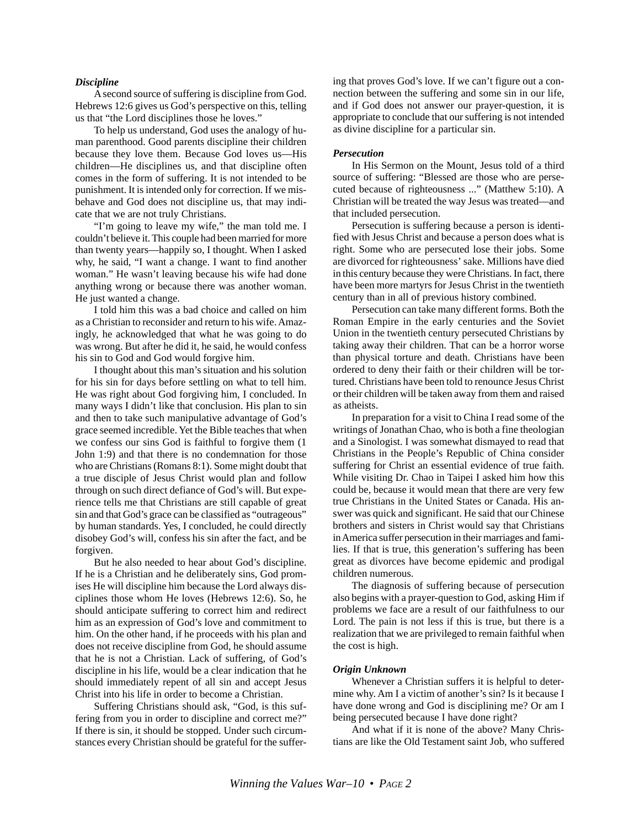#### *Discipline*

A second source of suffering is discipline from God. Hebrews 12:6 gives us God's perspective on this, telling us that "the Lord disciplines those he loves."

To help us understand, God uses the analogy of human parenthood. Good parents discipline their children because they love them. Because God loves us—His children—He disciplines us, and that discipline often comes in the form of suffering. It is not intended to be punishment. It is intended only for correction. If we misbehave and God does not discipline us, that may indicate that we are not truly Christians.

"I'm going to leave my wife," the man told me. I couldn't believe it. This couple had been married for more than twenty years—happily so, I thought. When I asked why, he said, "I want a change. I want to find another woman." He wasn't leaving because his wife had done anything wrong or because there was another woman. He just wanted a change.

I told him this was a bad choice and called on him as a Christian to reconsider and return to his wife. Amazingly, he acknowledged that what he was going to do was wrong. But after he did it, he said, he would confess his sin to God and God would forgive him.

I thought about this man's situation and his solution for his sin for days before settling on what to tell him. He was right about God forgiving him, I concluded. In many ways I didn't like that conclusion. His plan to sin and then to take such manipulative advantage of God's grace seemed incredible. Yet the Bible teaches that when we confess our sins God is faithful to forgive them (1 John 1:9) and that there is no condemnation for those who are Christians (Romans 8:1). Some might doubt that a true disciple of Jesus Christ would plan and follow through on such direct defiance of God's will. But experience tells me that Christians are still capable of great sin and that God's grace can be classified as "outrageous" by human standards. Yes, I concluded, he could directly disobey God's will, confess his sin after the fact, and be forgiven.

But he also needed to hear about God's discipline. If he is a Christian and he deliberately sins, God promises He will discipline him because the Lord always disciplines those whom He loves (Hebrews 12:6). So, he should anticipate suffering to correct him and redirect him as an expression of God's love and commitment to him. On the other hand, if he proceeds with his plan and does not receive discipline from God, he should assume that he is not a Christian. Lack of suffering, of God's discipline in his life, would be a clear indication that he should immediately repent of all sin and accept Jesus Christ into his life in order to become a Christian.

Suffering Christians should ask, "God, is this suffering from you in order to discipline and correct me?" If there is sin, it should be stopped. Under such circumstances every Christian should be grateful for the suffering that proves God's love. If we can't figure out a connection between the suffering and some sin in our life, and if God does not answer our prayer-question, it is appropriate to conclude that our suffering is not intended as divine discipline for a particular sin.

#### *Persecution*

In His Sermon on the Mount, Jesus told of a third source of suffering: "Blessed are those who are persecuted because of righteousness ..." (Matthew 5:10). A Christian will be treated the way Jesus was treated—and that included persecution.

Persecution is suffering because a person is identified with Jesus Christ and because a person does what is right. Some who are persecuted lose their jobs. Some are divorced for righteousness' sake. Millions have died in this century because they were Christians. In fact, there have been more martyrs for Jesus Christ in the twentieth century than in all of previous history combined.

Persecution can take many different forms. Both the Roman Empire in the early centuries and the Soviet Union in the twentieth century persecuted Christians by taking away their children. That can be a horror worse than physical torture and death. Christians have been ordered to deny their faith or their children will be tortured. Christians have been told to renounce Jesus Christ or their children will be taken away from them and raised as atheists.

In preparation for a visit to China I read some of the writings of Jonathan Chao, who is both a fine theologian and a Sinologist. I was somewhat dismayed to read that Christians in the People's Republic of China consider suffering for Christ an essential evidence of true faith. While visiting Dr. Chao in Taipei I asked him how this could be, because it would mean that there are very few true Christians in the United States or Canada. His answer was quick and significant. He said that our Chinese brothers and sisters in Christ would say that Christians in America suffer persecution in their marriages and families. If that is true, this generation's suffering has been great as divorces have become epidemic and prodigal children numerous.

The diagnosis of suffering because of persecution also begins with a prayer-question to God, asking Him if problems we face are a result of our faithfulness to our Lord. The pain is not less if this is true, but there is a realization that we are privileged to remain faithful when the cost is high.

### *Origin Unknown*

Whenever a Christian suffers it is helpful to determine why. Am I a victim of another's sin? Is it because I have done wrong and God is disciplining me? Or am I being persecuted because I have done right?

And what if it is none of the above? Many Christians are like the Old Testament saint Job, who suffered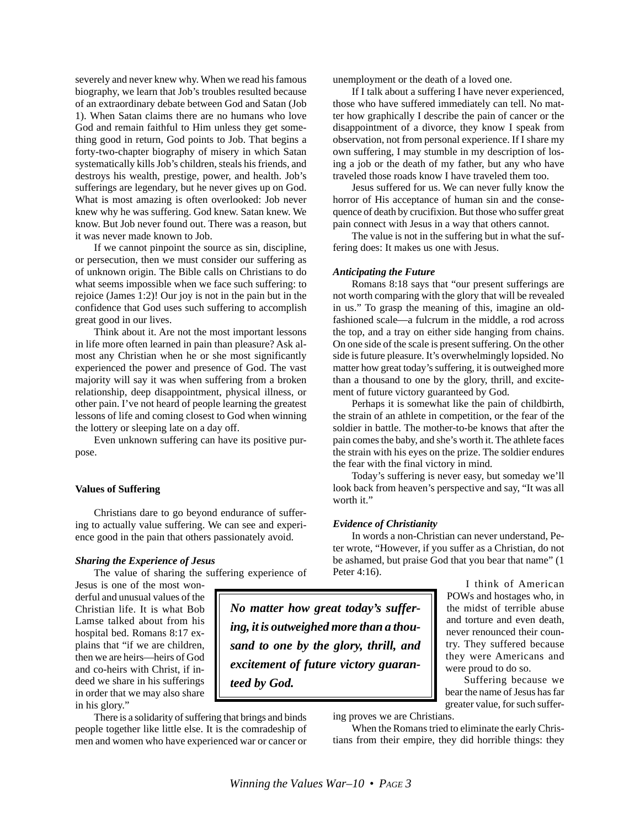severely and never knew why. When we read his famous biography, we learn that Job's troubles resulted because of an extraordinary debate between God and Satan (Job 1). When Satan claims there are no humans who love God and remain faithful to Him unless they get something good in return, God points to Job. That begins a forty-two-chapter biography of misery in which Satan systematically kills Job's children, steals his friends, and destroys his wealth, prestige, power, and health. Job's sufferings are legendary, but he never gives up on God. What is most amazing is often overlooked: Job never knew why he was suffering. God knew. Satan knew. We know. But Job never found out. There was a reason, but it was never made known to Job.

If we cannot pinpoint the source as sin, discipline, or persecution, then we must consider our suffering as of unknown origin. The Bible calls on Christians to do what seems impossible when we face such suffering: to rejoice (James 1:2)! Our joy is not in the pain but in the confidence that God uses such suffering to accomplish great good in our lives.

Think about it. Are not the most important lessons in life more often learned in pain than pleasure? Ask almost any Christian when he or she most significantly experienced the power and presence of God. The vast majority will say it was when suffering from a broken relationship, deep disappointment, physical illness, or other pain. I've not heard of people learning the greatest lessons of life and coming closest to God when winning the lottery or sleeping late on a day off.

Even unknown suffering can have its positive purpose.

#### **Values of Suffering**

Christians dare to go beyond endurance of suffering to actually value suffering. We can see and experience good in the pain that others passionately avoid.

#### *Sharing the Experience of Jesus*

The value of sharing the suffering experience of

Jesus is one of the most wonderful and unusual values of the Christian life. It is what Bob Lamse talked about from his hospital bed. Romans 8:17 explains that "if we are children, then we are heirs—heirs of God and co-heirs with Christ, if indeed we share in his sufferings in order that we may also share in his glory."

There is a solidarity of suffering that brings and binds people together like little else. It is the comradeship of men and women who have experienced war or cancer or

unemployment or the death of a loved one.

If I talk about a suffering I have never experienced, those who have suffered immediately can tell. No matter how graphically I describe the pain of cancer or the disappointment of a divorce, they know I speak from observation, not from personal experience. If I share my own suffering, I may stumble in my description of losing a job or the death of my father, but any who have traveled those roads know I have traveled them too.

Jesus suffered for us. We can never fully know the horror of His acceptance of human sin and the consequence of death by crucifixion. But those who suffer great pain connect with Jesus in a way that others cannot.

The value is not in the suffering but in what the suffering does: It makes us one with Jesus.

#### *Anticipating the Future*

Romans 8:18 says that "our present sufferings are not worth comparing with the glory that will be revealed in us." To grasp the meaning of this, imagine an oldfashioned scale—a fulcrum in the middle, a rod across the top, and a tray on either side hanging from chains. On one side of the scale is present suffering. On the other side is future pleasure. It's overwhelmingly lopsided. No matter how great today's suffering, it is outweighed more than a thousand to one by the glory, thrill, and excitement of future victory guaranteed by God.

Perhaps it is somewhat like the pain of childbirth, the strain of an athlete in competition, or the fear of the soldier in battle. The mother-to-be knows that after the pain comes the baby, and she's worth it. The athlete faces the strain with his eyes on the prize. The soldier endures the fear with the final victory in mind.

Today's suffering is never easy, but someday we'll look back from heaven's perspective and say, "It was all worth it."

## *Evidence of Christianity*

In words a non-Christian can never understand, Peter wrote, "However, if you suffer as a Christian, do not be ashamed, but praise God that you bear that name" (1 Peter 4:16).

> I think of American POWs and hostages who, in the midst of terrible abuse and torture and even death, never renounced their country. They suffered because they were Americans and were proud to do so.

Suffering because we bear the name of Jesus has far greater value, for such suffer-

ing proves we are Christians.

When the Romans tried to eliminate the early Christians from their empire, they did horrible things: they

*teed by God.*

*No matter how great today's suffering, it is outweighed more than a thousand to one by the glory, thrill, and excitement of future victory guaran-*